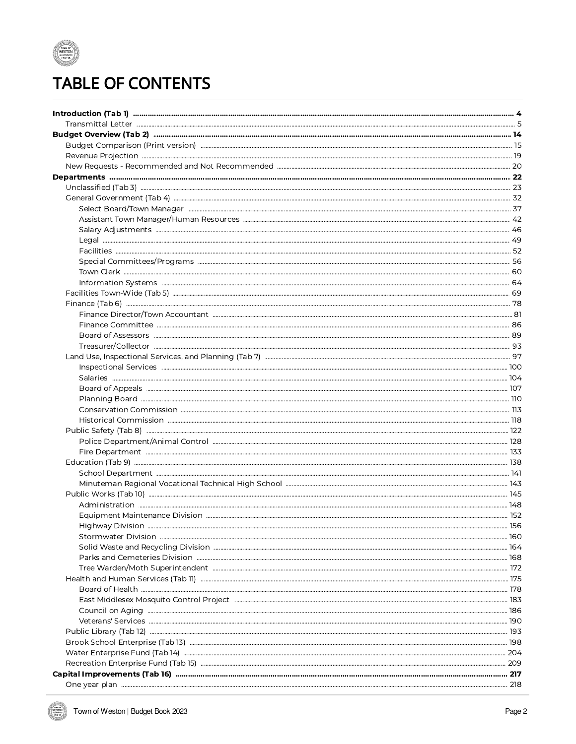

## **TABLE OF CONTENTS**

| Highway Division                                                                            |  |
|---------------------------------------------------------------------------------------------|--|
|                                                                                             |  |
|                                                                                             |  |
|                                                                                             |  |
|                                                                                             |  |
|                                                                                             |  |
|                                                                                             |  |
|                                                                                             |  |
|                                                                                             |  |
|                                                                                             |  |
|                                                                                             |  |
|                                                                                             |  |
|                                                                                             |  |
| Recreation Enterprise Fund (Tab 15) manufacture manufacture manufacture manufacture and 209 |  |
|                                                                                             |  |
|                                                                                             |  |

**WESTON**